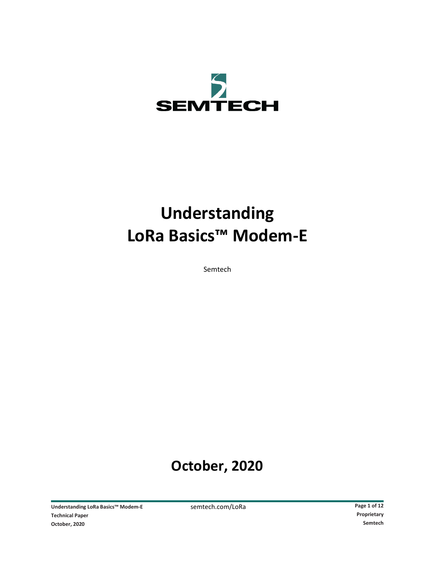

# **Understanding LoRa Basics™ Modem-E**

Semtech

## **October, 2020**

**Understanding LoRa Basics™ Modem-E** semtech.com/LoRa **Page 1 of 12 Page 1 of 12 Page 1 of 12 Page 1 of 12 Proprietary Technical Paper October, 2020 Semtech**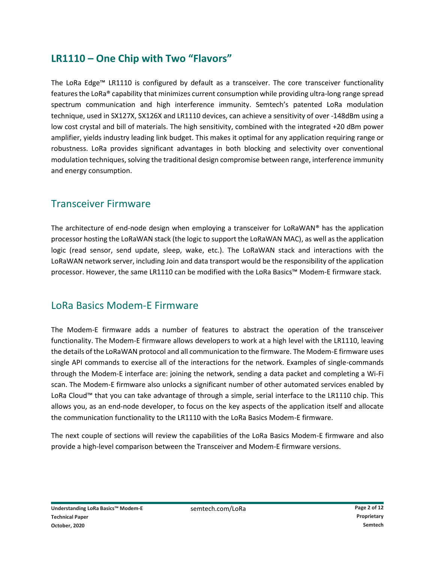## **LR1110 – One Chip with Two "Flavors"**

The LoRa Edge™ LR1110 is configured by default as a transceiver. The core transceiver functionality features the LoRa® capability that minimizes current consumption while providing ultra-long range spread spectrum communication and high interference immunity. Semtech's patented LoRa modulation technique, used in SX127X, SX126X and LR1110 devices, can achieve a sensitivity of over -148dBm using a low cost crystal and bill of materials. The high sensitivity, combined with the integrated +20 dBm power amplifier, yields industry leading link budget. This makes it optimal for any application requiring range or robustness. LoRa provides significant advantages in both blocking and selectivity over conventional modulation techniques, solving the traditional design compromise between range, interference immunity and energy consumption.

## Transceiver Firmware

The architecture of end-node design when employing a transceiver for LoRaWAN® has the application processor hosting the LoRaWAN stack (the logic to support the LoRaWAN MAC), as well as the application logic (read sensor, send update, sleep, wake, etc.). The LoRaWAN stack and interactions with the LoRaWAN network server, including Join and data transport would be the responsibility of the application processor. However, the same LR1110 can be modified with the LoRa Basics™ Modem-E firmware stack.

## LoRa Basics Modem-E Firmware

The Modem-E firmware adds a number of features to abstract the operation of the transceiver functionality. The Modem-E firmware allows developers to work at a high level with the LR1110, leaving the details of the LoRaWAN protocol and all communication to the firmware. The Modem-E firmware uses single API commands to exercise all of the interactions for the network. Examples of single-commands through the Modem-E interface are: joining the network, sending a data packet and completing a Wi-Fi scan. The Modem-E firmware also unlocks a significant number of other automated services enabled by LoRa Cloud™ that you can take advantage of through a simple, serial interface to the LR1110 chip. This allows you, as an end-node developer, to focus on the key aspects of the application itself and allocate the communication functionality to the LR1110 with the LoRa Basics Modem-E firmware.

The next couple of sections will review the capabilities of the LoRa Basics Modem-E firmware and also provide a high-level comparison between the Transceiver and Modem-E firmware versions.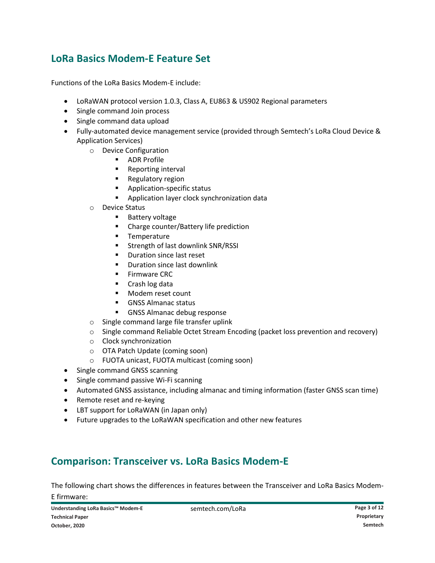## **LoRa Basics Modem-E Feature Set**

Functions of the LoRa Basics Modem-E include:

- LoRaWAN protocol version 1.0.3, Class A, EU863 & US902 Regional parameters
- Single command Join process
- Single command data upload
- Fully-automated device management service (provided through Semtech's LoRa Cloud Device & Application Services)
	- o Device Configuration
		- **ADR Profile**
		- **Reporting interval**
		- **Regulatory region**
		- **Application-specific status**
		- **Application layer clock synchronization data**
	- o Device Status
		- **Battery voltage**
		- **EXPLOREGIST Charge counter/Battery life prediction**
		- **Temperature**
		- Strength of last downlink SNR/RSSI
		- **Duration since last reset**
		- **•** Duration since last downlink
		- **Firmware CRC**
		- Crash log data
		- **Modem reset count**
		- **GNSS Almanac status**
		- **GNSS Almanac debug response**
	- o Single command large file transfer uplink
	- o Single command Reliable Octet Stream Encoding (packet loss prevention and recovery)
	- o Clock synchronization
	- o OTA Patch Update (coming soon)
	- o FUOTA unicast, FUOTA multicast (coming soon)
- Single command GNSS scanning
- Single command passive Wi-Fi scanning
- Automated GNSS assistance, including almanac and timing information (faster GNSS scan time)
- Remote reset and re-keying
- LBT support for LoRaWAN (in Japan only)
- Future upgrades to the LoRaWAN specification and other new features

## **Comparison: Transceiver vs. LoRa Basics Modem-E**

The following chart shows the differences in features between the Transceiver and LoRa Basics Modem-E firmware: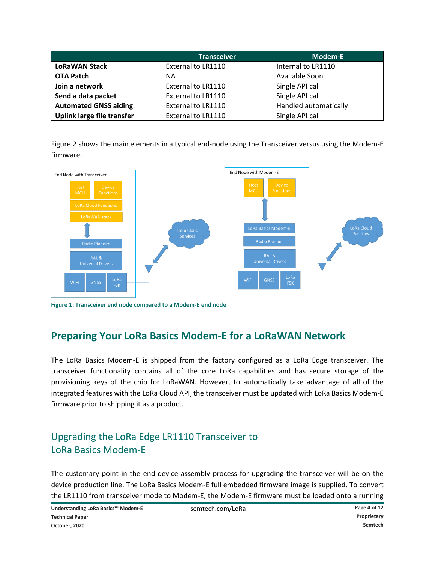|                              | <b>Transceiver</b> | <b>Modem-E</b>        |
|------------------------------|--------------------|-----------------------|
| <b>LoRaWAN Stack</b>         | External to LR1110 | Internal to LR1110    |
| <b>OTA Patch</b>             | <b>NA</b>          | Available Soon        |
| Join a network               | External to LR1110 | Single API call       |
| Send a data packet           | External to LR1110 | Single API call       |
| <b>Automated GNSS aiding</b> | External to LR1110 | Handled automatically |
| Uplink large file transfer   | External to LR1110 | Single API call       |

Figure 2 shows the main elements in a typical end-node using the Transceiver versus using the Modem-E firmware.



**Figure 1: Transceiver end node compared to a Modem-E end node**

## **Preparing Your LoRa Basics Modem-E for a LoRaWAN Network**

The LoRa Basics Modem-E is shipped from the factory configured as a LoRa Edge transceiver. The transceiver functionality contains all of the core LoRa capabilities and has secure storage of the provisioning keys of the chip for LoRaWAN. However, to automatically take advantage of all of the integrated features with the LoRa Cloud API, the transceiver must be updated with LoRa Basics Modem-E firmware prior to shipping it as a product.

## Upgrading the LoRa Edge LR1110 Transceiver to LoRa Basics Modem-E

The customary point in the end-device assembly process for upgrading the transceiver will be on the device production line. The LoRa Basics Modem-E full embedded firmware image is supplied. To convert the LR1110 from transceiver mode to Modem-E, the Modem-E firmware must be loaded onto a running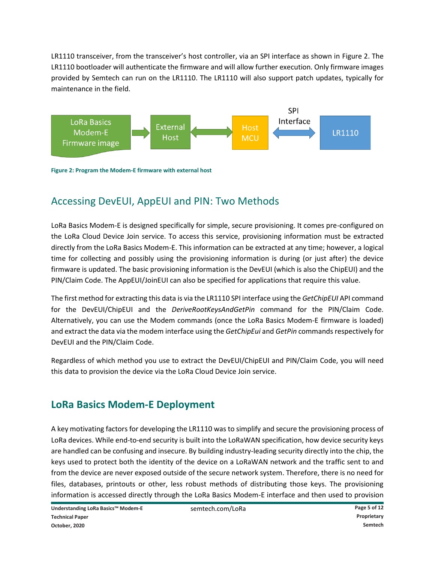LR1110 transceiver, from the transceiver's host controller, via an SPI interface as shown in [Figure 2.](#page-4-0) The LR1110 bootloader will authenticate the firmware and will allow further execution. Only firmware images provided by Semtech can run on the LR1110. The LR1110 will also support patch updates, typically for maintenance in the field.



<span id="page-4-0"></span>**Figure 2: Program the Modem-E firmware with external host**

## Accessing DevEUI, AppEUI and PIN: Two Methods

LoRa Basics Modem-E is designed specifically for simple, secure provisioning. It comes pre-configured on the LoRa Cloud Device Join service. To access this service, provisioning information must be extracted directly from the LoRa Basics Modem-E. This information can be extracted at any time; however, a logical time for collecting and possibly using the provisioning information is during (or just after) the device firmware is updated. The basic provisioning information is the DevEUI (which is also the ChipEUI) and the PIN/Claim Code. The AppEUI/JoinEUI can also be specified for applications that require this value.

The first method for extracting this data is via the LR1110 SPI interface using the *GetChipEUI* API command for the DevEUI/ChipEUI and the *DeriveRootKeysAndGetPin* command for the PIN/Claim Code. Alternatively, you can use the Modem commands (once the LoRa Basics Modem-E firmware is loaded) and extract the data via the modem interface using the *GetChipEui* and *GetPin* commands respectively for DevEUI and the PIN/Claim Code.

Regardless of which method you use to extract the DevEUI/ChipEUI and PIN/Claim Code, you will need this data to provision the device via the LoRa Cloud Device Join service.

## **LoRa Basics Modem-E Deployment**

A key motivating factors for developing the LR1110 was to simplify and secure the provisioning process of LoRa devices. While end-to-end security is built into the LoRaWAN specification, how device security keys are handled can be confusing and insecure. By building industry-leading security directly into the chip, the keys used to protect both the identity of the device on a LoRaWAN network and the traffic sent to and from the device are never exposed outside of the secure network system. Therefore, there is no need for files, databases, printouts or other, less robust methods of distributing those keys. The provisioning information is accessed directly through the LoRa Basics Modem-E interface and then used to provision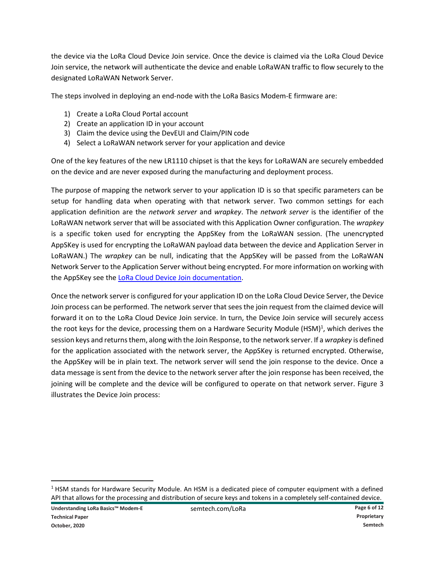the device via the LoRa Cloud Device Join service. Once the device is claimed via the LoRa Cloud Device Join service, the network will authenticate the device and enable LoRaWAN traffic to flow securely to the designated LoRaWAN Network Server.

The steps involved in deploying an end-node with the LoRa Basics Modem-E firmware are:

- 1) Create a LoRa Cloud Portal account
- 2) Create an application ID in your account
- 3) Claim the device using the DevEUI and Claim/PIN code
- 4) Select a LoRaWAN network server for your application and device

One of the key features of the new LR1110 chipset is that the keys for LoRaWAN are securely embedded on the device and are never exposed during the manufacturing and deployment process.

The purpose of mapping the network server to your application ID is so that specific parameters can be setup for handling data when operating with that network server. Two common settings for each application definition are the *network server* and *wrapkey*. The *network server* is the identifier of the LoRaWAN network server that will be associated with this Application Owner configuration. The *wrapkey* is a specific token used for encrypting the AppSKey from the LoRaWAN session. (The unencrypted AppSKey is used for encrypting the LoRaWAN payload data between the device and Application Server in LoRaWAN.) The *wrapkey* can be null, indicating that the AppSKey will be passed from the LoRaWAN Network Server to the Application Server without being encrypted. For more information on working with the AppSKey see the [LoRa Cloud Device Join documentation.](https://lora-developers.semtech.com/resources/tools/cloud-services/lora-cloud-device-join)

Once the network server is configured for your application ID on the LoRa Cloud Device Server, the Device Join process can be performed. The network server that sees the join request from the claimed device will forward it on to the LoRa Cloud Device Join service. In turn, the Device Join service will securely access the root keys for the device, processing them on a Hardware Security Module (HSM)<sup>1</sup>, which derives the session keys and returns them, along with the Join Response, to the network server. If a *wrapkey* is defined for the application associated with the network server, the AppSKey is returned encrypted. Otherwise, the AppSKey will be in plain text. The network server will send the join response to the device. Once a data message is sent from the device to the network server after the join response has been received, the joining will be complete and the device will be configured to operate on that network server. [Figure 3](#page-6-0) illustrates the Device Join process:

l

 $<sup>1</sup>$  HSM stands for Hardware Security Module. An HSM is a dedicated piece of computer equipment with a defined</sup> API that allows for the processing and distribution of secure keys and tokens in a completely self-contained device.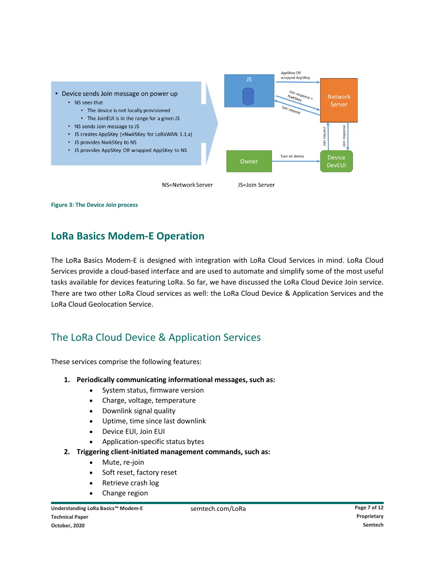

<span id="page-6-0"></span>**Figure 3: The Device Join process**

## **LoRa Basics Modem-E Operation**

The LoRa Basics Modem-E is designed with integration with LoRa Cloud Services in mind. LoRa Cloud Services provide a cloud-based interface and are used to automate and simplify some of the most useful tasks available for devices featuring LoRa. So far, we have discussed the LoRa Cloud Device Join service. There are two other LoRa Cloud services as well: the LoRa Cloud Device & Application Services and the LoRa Cloud Geolocation Service.

## The LoRa Cloud Device & Application Services

These services comprise the following features:

- **1. Periodically communicating informational messages, such as:**
	- System status, firmware version
	- Charge, voltage, temperature
	- Downlink signal quality
	- Uptime, time since last downlink
	- Device EUI, Join EUI
	- Application-specific status bytes
- **2. Triggering client-initiated management commands, such as:**
	- Mute, re-join
	- Soft reset, factory reset
	- Retrieve crash log
	- Change region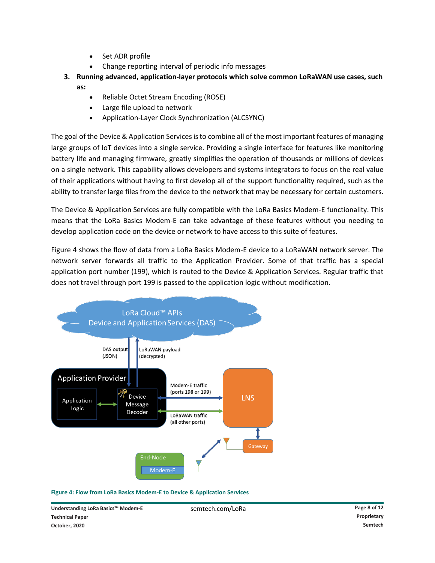- Set ADR profile
- Change reporting interval of periodic info messages
- **3. Running advanced, application-layer protocols which solve common LoRaWAN use cases, such as:**
	- Reliable Octet Stream Encoding (ROSE)
	- Large file upload to network
	- Application-Layer Clock Synchronization (ALCSYNC)

The goal of the Device & Application Services is to combine all of the most important features of managing large groups of IoT devices into a single service. Providing a single interface for features like monitoring battery life and managing firmware, greatly simplifies the operation of thousands or millions of devices on a single network. This capability allows developers and systems integrators to focus on the real value of their applications without having to first develop all of the support functionality required, such as the ability to transfer large files from the device to the network that may be necessary for certain customers.

The Device & Application Services are fully compatible with the LoRa Basics Modem-E functionality. This means that the LoRa Basics Modem-E can take advantage of these features without you needing to develop application code on the device or network to have access to this suite of features.

[Figure 4](#page-7-0) shows the flow of data from a LoRa Basics Modem-E device to a LoRaWAN network server. The network server forwards all traffic to the Application Provider. Some of that traffic has a special application port number (199), which is routed to the Device & Application Services. Regular traffic that does not travel through port 199 is passed to the application logic without modification.



<span id="page-7-0"></span>**Figure 4: Flow from LoRa Basics Modem-E to Device & Application Services**

**Understanding LoRa Basics™ Modem-E** semtech.com/LoRa **Page 8 of 12 Technical Paper Proprietary October, 2020 Semtech**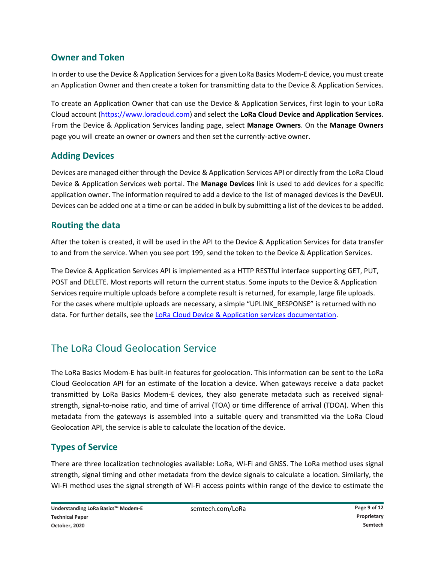#### **Owner and Token**

In order to use the Device & Application Services for a given LoRa Basics Modem-E device, you must create an Application Owner and then create a token for transmitting data to the Device & Application Services.

To create an Application Owner that can use the Device & Application Services, first login to your LoRa Cloud account [\(https://www.loracloud.com\)](https://www.loracloud.com/) and select the **LoRa Cloud Device and Application Services**. From the Device & Application Services landing page, select **Manage Owners**. On the **Manage Owners** page you will create an owner or owners and then set the currently-active owner.

#### **Adding Devices**

Devices are managed either through the Device & Application Services API or directly from the LoRa Cloud Device & Application Services web portal. The **Manage Devices** link is used to add devices for a specific application owner. The information required to add a device to the list of managed devices is the DevEUI. Devices can be added one at a time or can be added in bulk by submitting a list of the devices to be added.

#### **Routing the data**

After the token is created, it will be used in the API to the Device & Application Services for data transfer to and from the service. When you see port 199, send the token to the Device & Application Services.

The Device & Application Services API is implemented as a HTTP RESTful interface supporting GET, PUT, POST and DELETE. Most reports will return the current status. Some inputs to the Device & Application Services require multiple uploads before a complete result is returned, for example, large file uploads. For the cases where multiple uploads are necessary, a simple "UPLINK\_RESPONSE" is returned with no data. For further details, see the [LoRa Cloud Device & Application services documentation.](https://lora-developers.semtech.com/resources/tools/cloud-services/lora-cloud-device-and-application-service)

## The LoRa Cloud Geolocation Service

The LoRa Basics Modem-E has built-in features for geolocation. This information can be sent to the LoRa Cloud Geolocation API for an estimate of the location a device. When gateways receive a data packet transmitted by LoRa Basics Modem-E devices, they also generate metadata such as received signalstrength, signal-to-noise ratio, and time of arrival (TOA) or time difference of arrival (TDOA). When this metadata from the gateways is assembled into a suitable query and transmitted via the LoRa Cloud Geolocation API, the service is able to calculate the location of the device.

## **Types of Service**

There are three localization technologies available: LoRa, Wi-Fi and GNSS. The LoRa method uses signal strength, signal timing and other metadata from the device signals to calculate a location. Similarly, the Wi-Fi method uses the signal strength of Wi-Fi access points within range of the device to estimate the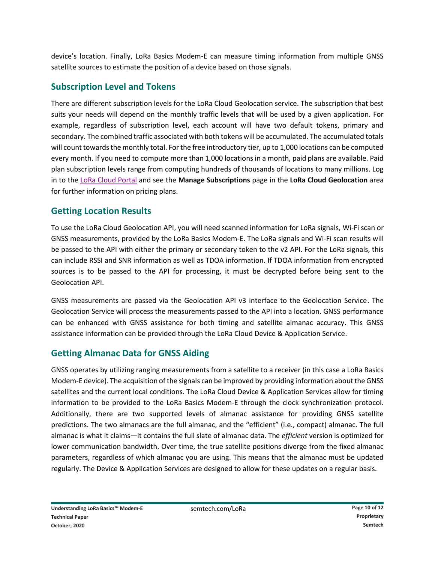device's location. Finally, LoRa Basics Modem-E can measure timing information from multiple GNSS satellite sources to estimate the position of a device based on those signals.

#### **Subscription Level and Tokens**

There are different subscription levels for the LoRa Cloud Geolocation service. The subscription that best suits your needs will depend on the monthly traffic levels that will be used by a given application. For example, regardless of subscription level, each account will have two default tokens, primary and secondary. The combined traffic associated with both tokens will be accumulated. The accumulated totals will count towards the monthly total. For the free introductory tier, up to 1,000 locations can be computed every month. If you need to compute more than 1,000 locations in a month, paid plans are available. Paid plan subscription levels range from computing hundreds of thousands of locations to many millions. Log in to the [LoRa Cloud Portal](https://www.loracloud.com/portal/device_management/tokens) and see the **Manage Subscriptions** page in the **LoRa Cloud Geolocation** area for further information on pricing plans.

## **Getting Location Results**

To use the LoRa Cloud Geolocation API, you will need scanned information for LoRa signals, Wi-Fi scan or GNSS measurements, provided by the LoRa Basics Modem-E. The LoRa signals and Wi-Fi scan results will be passed to the API with either the primary or secondary token to the v2 API. For the LoRa signals, this can include RSSI and SNR information as well as TDOA information. If TDOA information from encrypted sources is to be passed to the API for processing, it must be decrypted before being sent to the Geolocation API.

GNSS measurements are passed via the Geolocation API v3 interface to the Geolocation Service. The Geolocation Service will process the measurements passed to the API into a location. GNSS performance can be enhanced with GNSS assistance for both timing and satellite almanac accuracy. This GNSS assistance information can be provided through the LoRa Cloud Device & Application Service.

#### **Getting Almanac Data for GNSS Aiding**

GNSS operates by utilizing ranging measurements from a satellite to a receiver (in this case a LoRa Basics Modem-E device). The acquisition of the signals can be improved by providing information about the GNSS satellites and the current local conditions. The LoRa Cloud Device & Application Services allow for timing information to be provided to the LoRa Basics Modem-E through the clock synchronization protocol. Additionally, there are two supported levels of almanac assistance for providing GNSS satellite predictions. The two almanacs are the full almanac, and the "efficient" (i.e., compact) almanac. The full almanac is what it claims—it contains the full slate of almanac data. The *efficient* version is optimized for lower communication bandwidth. Over time, the true satellite positions diverge from the fixed almanac parameters, regardless of which almanac you are using. This means that the almanac must be updated regularly. The Device & Application Services are designed to allow for these updates on a regular basis.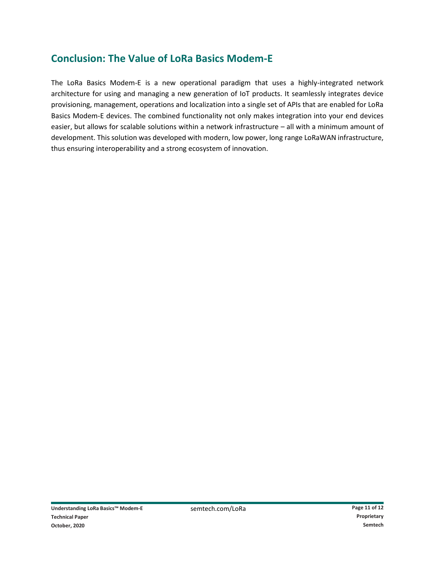## **Conclusion: The Value of LoRa Basics Modem-E**

The LoRa Basics Modem-E is a new operational paradigm that uses a highly-integrated network architecture for using and managing a new generation of IoT products. It seamlessly integrates device provisioning, management, operations and localization into a single set of APIs that are enabled for LoRa Basics Modem-E devices. The combined functionality not only makes integration into your end devices easier, but allows for scalable solutions within a network infrastructure – all with a minimum amount of development. This solution was developed with modern, low power, long range LoRaWAN infrastructure, thus ensuring interoperability and a strong ecosystem of innovation.